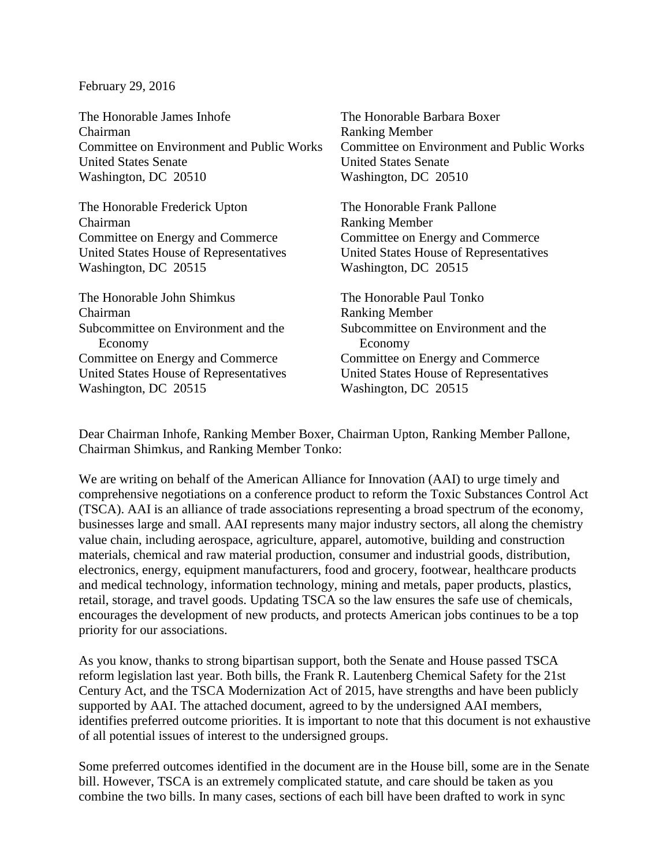February 29, 2016

| The Honorable James Inhofe<br>Chairman         | The Honorable Barbara Boxer<br><b>Ranking Member</b> |
|------------------------------------------------|------------------------------------------------------|
| Committee on Environment and Public Works      | <b>Committee on Environment and Public Works</b>     |
|                                                |                                                      |
| <b>United States Senate</b>                    | <b>United States Senate</b>                          |
| Washington, DC 20510                           | Washington, DC 20510                                 |
| The Honorable Frederick Upton                  | The Honorable Frank Pallone                          |
| Chairman                                       | <b>Ranking Member</b>                                |
| Committee on Energy and Commerce               | Committee on Energy and Commerce                     |
| United States House of Representatives         | United States House of Representatives               |
| Washington, DC 20515                           | Washington, DC 20515                                 |
| The Honorable John Shimkus                     | The Honorable Paul Tonko                             |
| Chairman                                       | <b>Ranking Member</b>                                |
| Subcommittee on Environment and the<br>Economy | Subcommittee on Environment and the<br>Economy       |
| Committee on Energy and Commerce               | Committee on Energy and Commerce                     |
| United States House of Representatives         | United States House of Representatives               |
| Washington, DC 20515                           | Washington, DC 20515                                 |

Dear Chairman Inhofe, Ranking Member Boxer, Chairman Upton, Ranking Member Pallone, Chairman Shimkus, and Ranking Member Tonko:

We are writing on behalf of the American Alliance for Innovation (AAI) to urge timely and comprehensive negotiations on a conference product to reform the Toxic Substances Control Act (TSCA). AAI is an alliance of trade associations representing a broad spectrum of the economy, businesses large and small. AAI represents many major industry sectors, all along the chemistry value chain, including aerospace, agriculture, apparel, automotive, building and construction materials, chemical and raw material production, consumer and industrial goods, distribution, electronics, energy, equipment manufacturers, food and grocery, footwear, healthcare products and medical technology, information technology, mining and metals, paper products, plastics, retail, storage, and travel goods. Updating TSCA so the law ensures the safe use of chemicals, encourages the development of new products, and protects American jobs continues to be a top priority for our associations.

As you know, thanks to strong bipartisan support, both the Senate and House passed TSCA reform legislation last year. Both bills, the Frank R. Lautenberg Chemical Safety for the 21st Century Act, and the TSCA Modernization Act of 2015, have strengths and have been publicly supported by AAI. The attached document, agreed to by the undersigned AAI members, identifies preferred outcome priorities. It is important to note that this document is not exhaustive of all potential issues of interest to the undersigned groups.

Some preferred outcomes identified in the document are in the House bill, some are in the Senate bill. However, TSCA is an extremely complicated statute, and care should be taken as you combine the two bills. In many cases, sections of each bill have been drafted to work in sync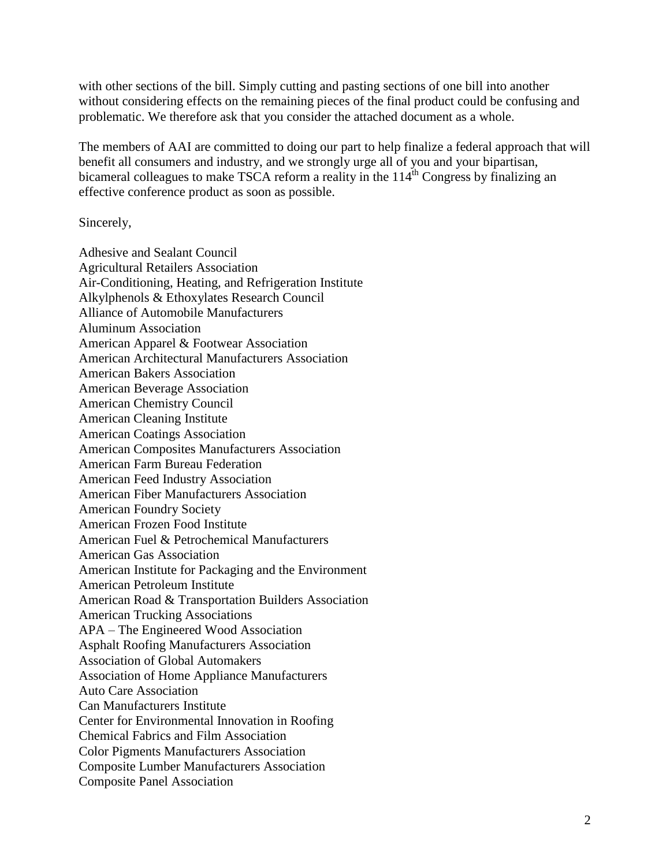with other sections of the bill. Simply cutting and pasting sections of one bill into another without considering effects on the remaining pieces of the final product could be confusing and problematic. We therefore ask that you consider the attached document as a whole.

The members of AAI are committed to doing our part to help finalize a federal approach that will benefit all consumers and industry, and we strongly urge all of you and your bipartisan, bicameral colleagues to make TSCA reform a reality in the  $114<sup>th</sup>$  Congress by finalizing an effective conference product as soon as possible.

Sincerely,

Adhesive and Sealant Council Agricultural Retailers Association Air-Conditioning, Heating, and Refrigeration Institute Alkylphenols & Ethoxylates Research Council Alliance of Automobile Manufacturers Aluminum Association American Apparel & Footwear Association American Architectural Manufacturers Association American Bakers Association American Beverage Association American Chemistry Council American Cleaning Institute American Coatings Association American Composites Manufacturers Association American Farm Bureau Federation American Feed Industry Association American Fiber Manufacturers Association American Foundry Society American Frozen Food Institute American Fuel & Petrochemical Manufacturers American Gas Association American Institute for Packaging and the Environment American Petroleum Institute American Road & Transportation Builders Association American Trucking Associations APA – The Engineered Wood Association Asphalt Roofing Manufacturers Association Association of Global Automakers Association of Home Appliance Manufacturers Auto Care Association Can Manufacturers Institute Center for Environmental Innovation in Roofing Chemical Fabrics and Film Association Color Pigments Manufacturers Association Composite Lumber Manufacturers Association Composite Panel Association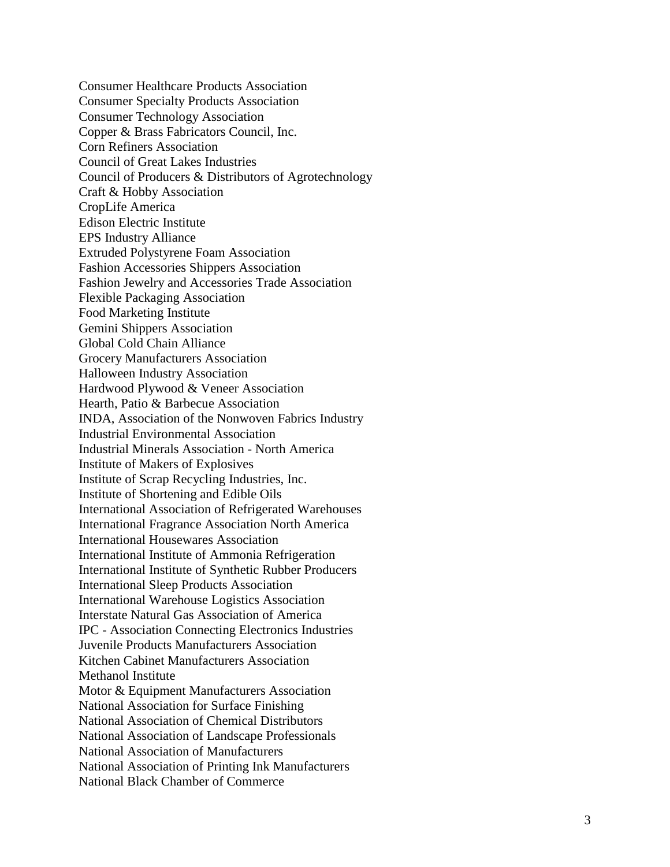Consumer Healthcare Products Association Consumer Specialty Products Association Consumer Technology Association Copper & Brass Fabricators Council, Inc. Corn Refiners Association Council of Great Lakes Industries Council of Producers & Distributors of Agrotechnology Craft & Hobby Association CropLife America Edison Electric Institute EPS Industry Alliance Extruded Polystyrene Foam Association Fashion Accessories Shippers Association Fashion Jewelry and Accessories Trade Association Flexible Packaging Association Food Marketing Institute Gemini Shippers Association Global Cold Chain Alliance Grocery Manufacturers Association Halloween Industry Association Hardwood Plywood & Veneer Association Hearth, Patio & Barbecue Association INDA, Association of the Nonwoven Fabrics Industry Industrial Environmental Association Industrial Minerals Association - North America Institute of Makers of Explosives Institute of Scrap Recycling Industries, Inc. Institute of Shortening and Edible Oils International Association of Refrigerated Warehouses International Fragrance Association North America International Housewares Association International Institute of Ammonia Refrigeration International Institute of Synthetic Rubber Producers International Sleep Products Association International Warehouse Logistics Association Interstate Natural Gas Association of America IPC - Association Connecting Electronics Industries Juvenile Products Manufacturers Association Kitchen Cabinet Manufacturers Association Methanol Institute Motor & Equipment Manufacturers Association National Association for Surface Finishing National Association of Chemical Distributors National Association of Landscape Professionals National Association of Manufacturers National Association of Printing Ink Manufacturers National Black Chamber of Commerce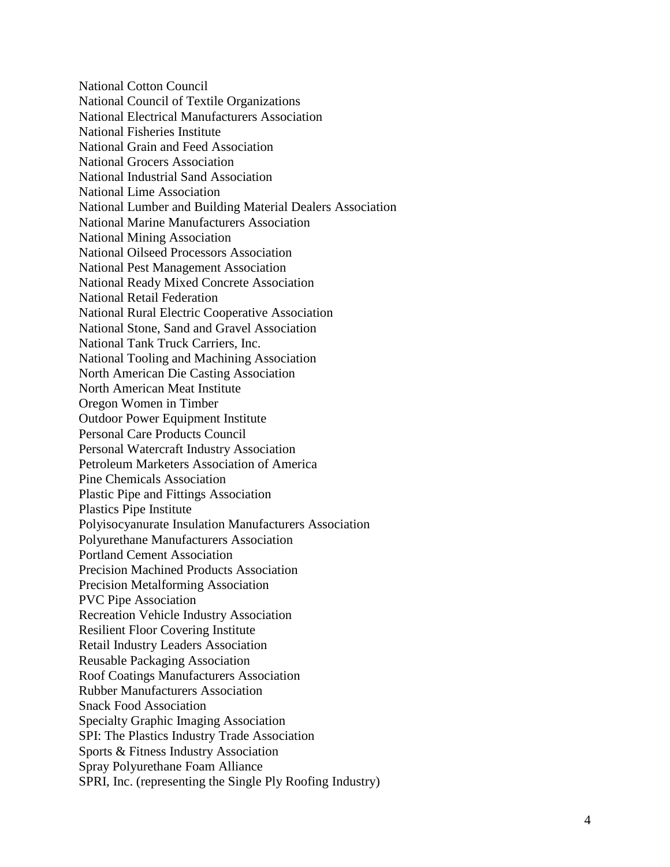National Cotton Council National Council of Textile Organizations National Electrical Manufacturers Association National Fisheries Institute National Grain and Feed Association National Grocers Association National Industrial Sand Association National Lime Association National Lumber and Building Material Dealers Association National Marine Manufacturers Association National Mining Association National Oilseed Processors Association National Pest Management Association National Ready Mixed Concrete Association National Retail Federation National Rural Electric Cooperative Association National Stone, Sand and Gravel Association National Tank Truck Carriers, Inc. National Tooling and Machining Association North American Die Casting Association North American Meat Institute Oregon Women in Timber Outdoor Power Equipment Institute Personal Care Products Council Personal Watercraft Industry Association Petroleum Marketers Association of America Pine Chemicals Association Plastic Pipe and Fittings Association Plastics Pipe Institute Polyisocyanurate Insulation Manufacturers Association Polyurethane Manufacturers Association Portland Cement Association Precision Machined Products Association Precision Metalforming Association PVC Pipe Association Recreation Vehicle Industry Association Resilient Floor Covering Institute Retail Industry Leaders Association Reusable Packaging Association Roof Coatings Manufacturers Association Rubber Manufacturers Association Snack Food Association Specialty Graphic Imaging Association SPI: The Plastics Industry Trade Association Sports & Fitness Industry Association Spray Polyurethane Foam Alliance SPRI, Inc. (representing the Single Ply Roofing Industry)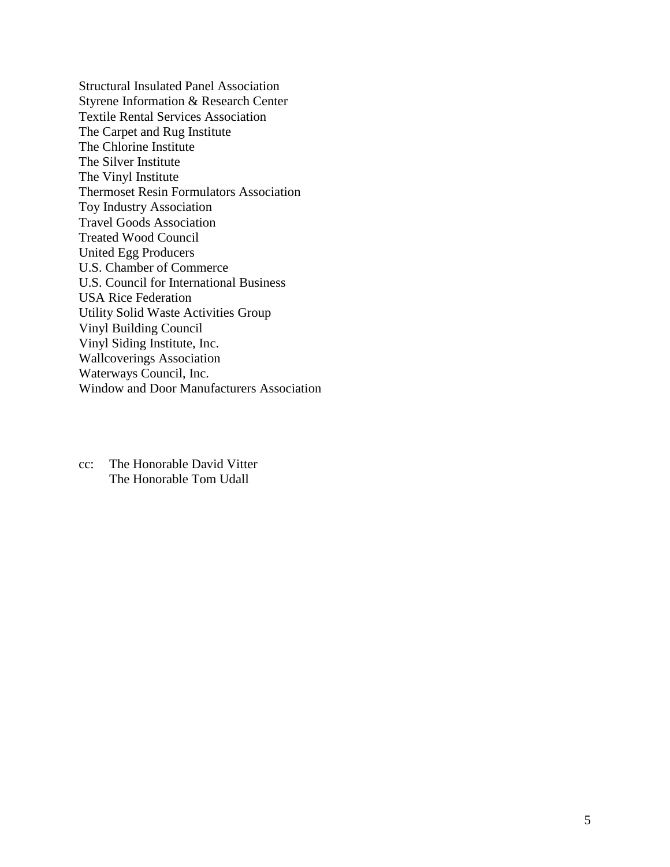Structural Insulated Panel Association Styrene Information & Research Center Textile Rental Services Association The Carpet and Rug Institute The Chlorine Institute The Silver Institute The Vinyl Institute Thermoset Resin Formulators Association Toy Industry Association Travel Goods Association Treated Wood Council United Egg Producers U.S. Chamber of Commerce U.S. Council for International Business USA Rice Federation Utility Solid Waste Activities Group Vinyl Building Council Vinyl Siding Institute, Inc. Wallcoverings Association Waterways Council, Inc. Window and Door Manufacturers Association

cc: The Honorable David Vitter The Honorable Tom Udall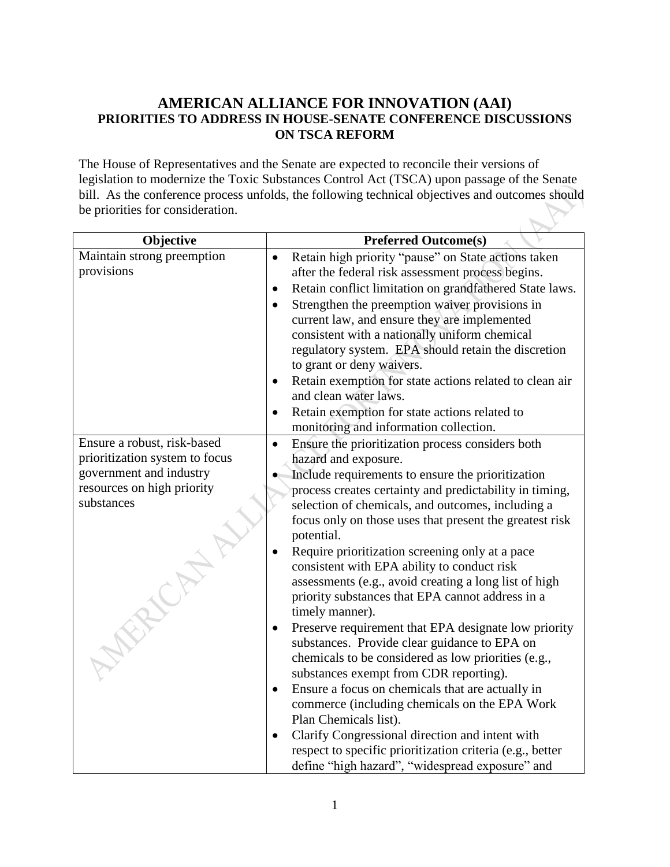## **AMERICAN ALLIANCE FOR INNOVATION (AAI) PRIORITIES TO ADDRESS IN HOUSE-SENATE CONFERENCE DISCUSSIONS ON TSCA REFORM**

The House of Representatives and the Senate are expected to reconcile their versions of legislation to modernize the Toxic Substances Control Act (TSCA) upon passage of the Senate bill. As the conference process unfolds, the following technical objectives and outcomes should be priorities for consideration.

| Objective                      | <b>Preferred Outcome(s)</b>                                                                          |
|--------------------------------|------------------------------------------------------------------------------------------------------|
| Maintain strong preemption     | Retain high priority "pause" on State actions taken<br>$\bullet$                                     |
| provisions                     | after the federal risk assessment process begins.                                                    |
|                                | Retain conflict limitation on grandfathered State laws.<br>$\bullet$                                 |
|                                | Strengthen the preemption waiver provisions in<br>$\bullet$                                          |
|                                | current law, and ensure they are implemented                                                         |
|                                | consistent with a nationally uniform chemical                                                        |
|                                | regulatory system. EPA should retain the discretion                                                  |
|                                | to grant or deny waivers.                                                                            |
|                                | Retain exemption for state actions related to clean air<br>$\bullet$                                 |
|                                | and clean water laws.                                                                                |
|                                | Retain exemption for state actions related to<br>$\bullet$                                           |
|                                | monitoring and information collection.                                                               |
| Ensure a robust, risk-based    | Ensure the prioritization process considers both<br>$\bullet$                                        |
| prioritization system to focus | hazard and exposure.                                                                                 |
| government and industry        | Include requirements to ensure the prioritization                                                    |
| resources on high priority     | process creates certainty and predictability in timing,                                              |
| substances                     | selection of chemicals, and outcomes, including a                                                    |
|                                | focus only on those uses that present the greatest risk                                              |
|                                | potential.                                                                                           |
|                                | Require prioritization screening only at a pace                                                      |
|                                | consistent with EPA ability to conduct risk<br>assessments (e.g., avoid creating a long list of high |
|                                | priority substances that EPA cannot address in a                                                     |
|                                | timely manner).                                                                                      |
|                                | Preserve requirement that EPA designate low priority<br>$\bullet$                                    |
|                                | substances. Provide clear guidance to EPA on                                                         |
|                                | chemicals to be considered as low priorities (e.g.,                                                  |
|                                | substances exempt from CDR reporting).                                                               |
|                                | Ensure a focus on chemicals that are actually in<br>$\bullet$                                        |
|                                | commerce (including chemicals on the EPA Work                                                        |
|                                | Plan Chemicals list).                                                                                |
|                                | Clarify Congressional direction and intent with<br>$\bullet$                                         |
|                                | respect to specific prioritization criteria (e.g., better                                            |
|                                | define "high hazard", "widespread exposure" and                                                      |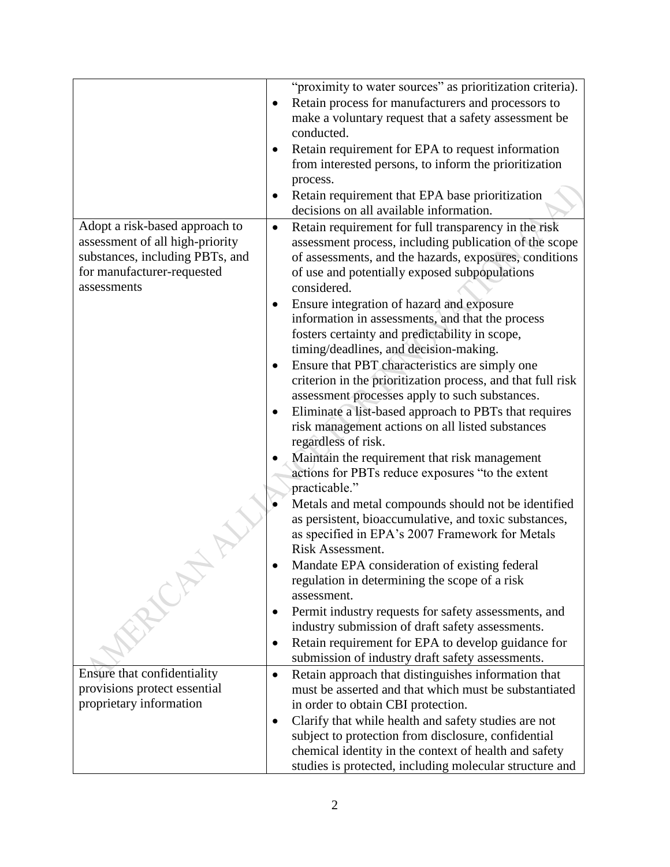|                                 | "proximity to water sources" as prioritization criteria).          |
|---------------------------------|--------------------------------------------------------------------|
|                                 | Retain process for manufacturers and processors to                 |
|                                 | make a voluntary request that a safety assessment be               |
|                                 | conducted.                                                         |
|                                 | Retain requirement for EPA to request information                  |
|                                 | from interested persons, to inform the prioritization              |
|                                 | process.                                                           |
|                                 | Retain requirement that EPA base prioritization                    |
|                                 | decisions on all available information.                            |
| Adopt a risk-based approach to  | Retain requirement for full transparency in the risk<br>$\bullet$  |
| assessment of all high-priority | assessment process, including publication of the scope             |
| substances, including PBTs, and | of assessments, and the hazards, exposures, conditions             |
| for manufacturer-requested      | of use and potentially exposed subpopulations                      |
| assessments                     | considered.                                                        |
|                                 | Ensure integration of hazard and exposure<br>$\bullet$             |
|                                 | information in assessments, and that the process                   |
|                                 | fosters certainty and predictability in scope,                     |
|                                 | timing/deadlines, and decision-making.                             |
|                                 | Ensure that PBT characteristics are simply one<br>$\bullet$        |
|                                 | criterion in the prioritization process, and that full risk        |
|                                 | assessment processes apply to such substances.                     |
|                                 | Eliminate a list-based approach to PBTs that requires<br>$\bullet$ |
|                                 | risk management actions on all listed substances                   |
|                                 | regardless of risk.                                                |
|                                 | Maintain the requirement that risk management                      |
|                                 | actions for PBTs reduce exposures "to the extent                   |
|                                 | practicable."                                                      |
|                                 | Metals and metal compounds should not be identified                |
|                                 | as persistent, bioaccumulative, and toxic substances,              |
|                                 | as specified in EPA's 2007 Framework for Metals                    |
|                                 | Risk Assessment.                                                   |
|                                 | Mandate EPA consideration of existing federal                      |
|                                 | regulation in determining the scope of a risk                      |
|                                 | assessment.                                                        |
|                                 | Permit industry requests for safety assessments, and<br>٠          |
|                                 | industry submission of draft safety assessments.                   |
|                                 | Retain requirement for EPA to develop guidance for<br>$\bullet$    |
|                                 | submission of industry draft safety assessments.                   |
| Ensure that confidentiality     | Retain approach that distinguishes information that<br>$\bullet$   |
| provisions protect essential    | must be asserted and that which must be substantiated              |
| proprietary information         | in order to obtain CBI protection.                                 |
|                                 | Clarify that while health and safety studies are not               |
|                                 | subject to protection from disclosure, confidential                |
|                                 | chemical identity in the context of health and safety              |
|                                 | studies is protected, including molecular structure and            |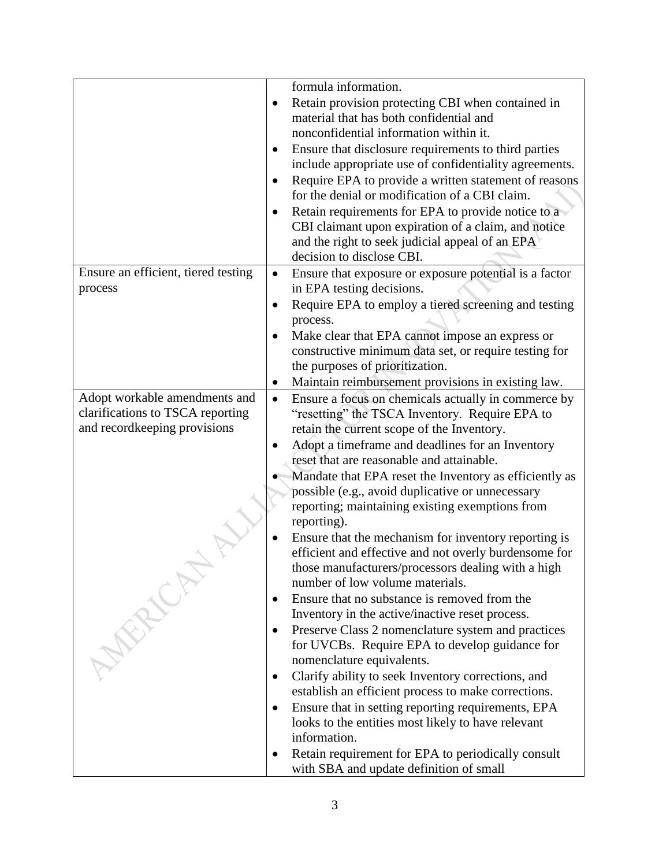|                                     | formula information.                                                |
|-------------------------------------|---------------------------------------------------------------------|
|                                     | Retain provision protecting CBI when contained in<br>$\bullet$      |
|                                     | material that has both confidential and                             |
|                                     | nonconfidential information within it.                              |
|                                     | Ensure that disclosure requirements to third parties                |
|                                     | include appropriate use of confidentiality agreements.              |
|                                     | Require EPA to provide a written statement of reasons<br>$\bullet$  |
|                                     | for the denial or modification of a CBI claim.                      |
|                                     | Retain requirements for EPA to provide notice to a                  |
|                                     | CBI claimant upon expiration of a claim, and notice                 |
|                                     | and the right to seek judicial appeal of an EPA                     |
|                                     | decision to disclose CBI.                                           |
| Ensure an efficient, tiered testing | Ensure that exposure or exposure potential is a factor<br>$\bullet$ |
| process                             | in EPA testing decisions.                                           |
|                                     | Require EPA to employ a tiered screening and testing<br>$\bullet$   |
|                                     | process.                                                            |
|                                     | Make clear that EPA cannot impose an express or                     |
|                                     | constructive minimum data set, or require testing for               |
|                                     | the purposes of prioritization.                                     |
|                                     | Maintain reimbursement provisions in existing law.<br>$\bullet$     |
| Adopt workable amendments and       | Ensure a focus on chemicals actually in commerce by<br>$\bullet$    |
| clarifications to TSCA reporting    | "resetting" the TSCA Inventory. Require EPA to                      |
| and recordkeeping provisions        | retain the current scope of the Inventory.                          |
|                                     | Adopt a timeframe and deadlines for an Inventory                    |
|                                     | reset that are reasonable and attainable.                           |
|                                     | Mandate that EPA reset the Inventory as efficiently as              |
|                                     | possible (e.g., avoid duplicative or unnecessary                    |
|                                     | reporting; maintaining existing exemptions from                     |
|                                     | reporting).                                                         |
|                                     | Ensure that the mechanism for inventory reporting is                |
|                                     | efficient and effective and not overly burdensome for               |
|                                     | those manufacturers/processors dealing with a high                  |
|                                     | number of low volume materials.                                     |
|                                     | Ensure that no substance is removed from the                        |
|                                     | Inventory in the active/inactive reset process.                     |
|                                     | Preserve Class 2 nomenclature system and practices<br>٠             |
|                                     | for UVCBs. Require EPA to develop guidance for                      |
|                                     | nomenclature equivalents.                                           |
|                                     | Clarify ability to seek Inventory corrections, and                  |
|                                     | establish an efficient process to make corrections.                 |
|                                     | Ensure that in setting reporting requirements, EPA<br>٠             |
|                                     | looks to the entities most likely to have relevant                  |
|                                     | information.                                                        |
|                                     | Retain requirement for EPA to periodically consult                  |
|                                     | with SBA and update definition of small                             |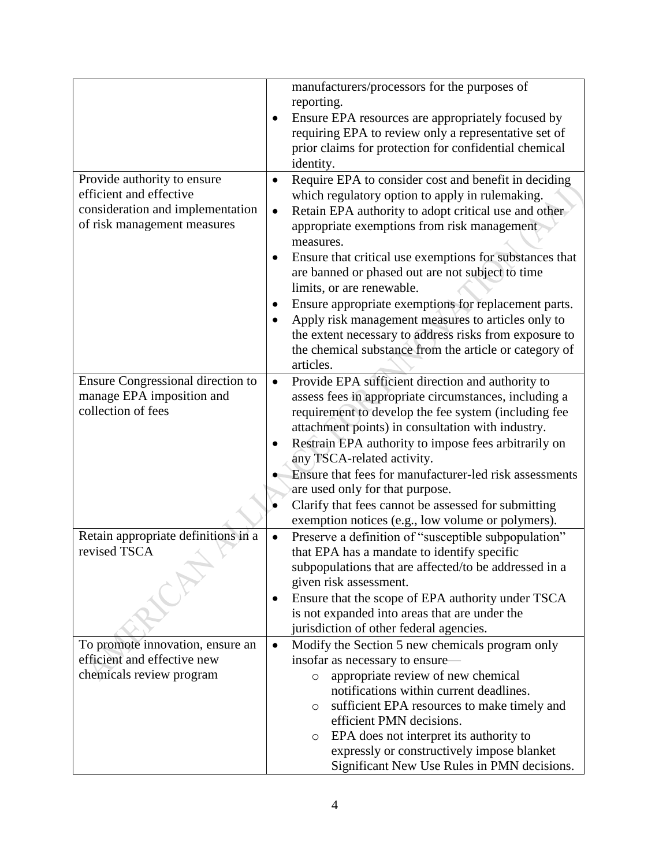|                                     | manufacturers/processors for the purposes of                                         |
|-------------------------------------|--------------------------------------------------------------------------------------|
|                                     | reporting.                                                                           |
|                                     | Ensure EPA resources are appropriately focused by                                    |
|                                     | requiring EPA to review only a representative set of                                 |
|                                     | prior claims for protection for confidential chemical                                |
|                                     | identity.                                                                            |
| Provide authority to ensure         | Require EPA to consider cost and benefit in deciding<br>$\bullet$                    |
| efficient and effective             | which regulatory option to apply in rulemaking.                                      |
| consideration and implementation    | Retain EPA authority to adopt critical use and other<br>$\bullet$                    |
| of risk management measures         | appropriate exemptions from risk management                                          |
|                                     | measures.                                                                            |
|                                     | Ensure that critical use exemptions for substances that<br>$\bullet$                 |
|                                     | are banned or phased out are not subject to time                                     |
|                                     | limits, or are renewable.                                                            |
|                                     | Ensure appropriate exemptions for replacement parts.<br>٠                            |
|                                     | Apply risk management measures to articles only to                                   |
|                                     | the extent necessary to address risks from exposure to                               |
|                                     | the chemical substance from the article or category of                               |
|                                     | articles.                                                                            |
| Ensure Congressional direction to   | Provide EPA sufficient direction and authority to<br>$\bullet$                       |
| manage EPA imposition and           | assess fees in appropriate circumstances, including a                                |
| collection of fees                  | requirement to develop the fee system (including fee                                 |
|                                     | attachment points) in consultation with industry.                                    |
|                                     | Restrain EPA authority to impose fees arbitrarily on                                 |
|                                     | any TSCA-related activity.<br>Ensure that fees for manufacturer-led risk assessments |
|                                     | are used only for that purpose.                                                      |
|                                     | Clarify that fees cannot be assessed for submitting                                  |
|                                     | exemption notices (e.g., low volume or polymers).                                    |
| Retain appropriate definitions in a | Preserve a definition of "susceptible subpopulation"<br>$\bullet$                    |
| revised TSCA                        | that EPA has a mandate to identify specific                                          |
|                                     | subpopulations that are affected/to be addressed in a                                |
|                                     | given risk assessment.                                                               |
|                                     | Ensure that the scope of EPA authority under TSCA<br>٠                               |
|                                     | is not expanded into areas that are under the                                        |
|                                     | jurisdiction of other federal agencies.                                              |
| To promote innovation, ensure an    | Modify the Section 5 new chemicals program only<br>$\bullet$                         |
| efficient and effective new         | insofar as necessary to ensure—                                                      |
| chemicals review program            | appropriate review of new chemical<br>$\circ$                                        |
|                                     | notifications within current deadlines.                                              |
|                                     | sufficient EPA resources to make timely and<br>$\circ$                               |
|                                     | efficient PMN decisions.                                                             |
|                                     | EPA does not interpret its authority to<br>$\circ$                                   |
|                                     | expressly or constructively impose blanket                                           |
|                                     | Significant New Use Rules in PMN decisions.                                          |